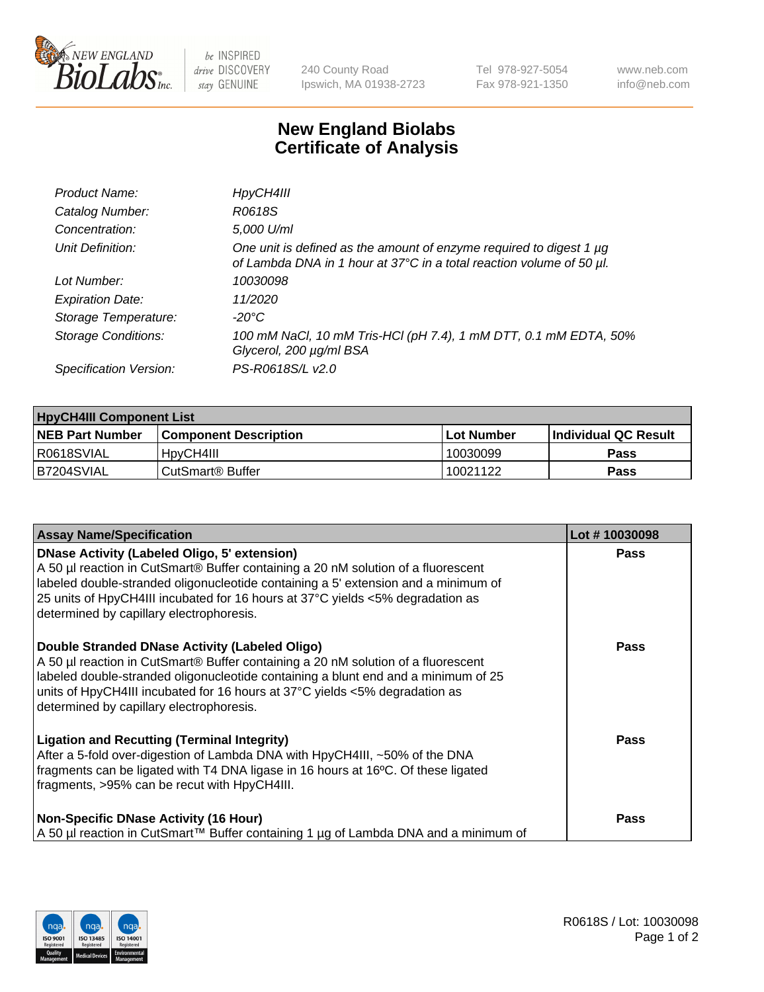

be INSPIRED drive DISCOVERY stay GENUINE

240 County Road Ipswich, MA 01938-2723 Tel 978-927-5054 Fax 978-921-1350 www.neb.com info@neb.com

## **New England Biolabs Certificate of Analysis**

| Product Name:              | HpyCH4III                                                                                                                                        |
|----------------------------|--------------------------------------------------------------------------------------------------------------------------------------------------|
| Catalog Number:            | R0618S                                                                                                                                           |
| Concentration:             | 5,000 U/ml                                                                                                                                       |
| Unit Definition:           | One unit is defined as the amount of enzyme required to digest 1 $\mu$ g<br>of Lambda DNA in 1 hour at 37°C in a total reaction volume of 50 µl. |
| Lot Number:                | 10030098                                                                                                                                         |
| <b>Expiration Date:</b>    | 11/2020                                                                                                                                          |
| Storage Temperature:       | -20°C                                                                                                                                            |
| <b>Storage Conditions:</b> | 100 mM NaCl, 10 mM Tris-HCl (pH 7.4), 1 mM DTT, 0.1 mM EDTA, 50%<br>Glycerol, 200 µg/ml BSA                                                      |
| Specification Version:     | PS-R0618S/L v2.0                                                                                                                                 |

| <b>HpyCH4III Component List</b> |                              |                   |                             |  |  |
|---------------------------------|------------------------------|-------------------|-----------------------------|--|--|
| <b>NEB Part Number</b>          | <b>Component Description</b> | <b>Lot Number</b> | <b>Individual QC Result</b> |  |  |
| I R0618SVIAL                    | <sup>1</sup> HpyCH4III       | 10030099          | <b>Pass</b>                 |  |  |
| B7204SVIAL                      | l CutSmart® Buffer           | 10021122          | Pass                        |  |  |

| <b>Assay Name/Specification</b>                                                                                                                                                                                                                                                                                                                                | Lot #10030098 |
|----------------------------------------------------------------------------------------------------------------------------------------------------------------------------------------------------------------------------------------------------------------------------------------------------------------------------------------------------------------|---------------|
| <b>DNase Activity (Labeled Oligo, 5' extension)</b><br>A 50 µl reaction in CutSmart® Buffer containing a 20 nM solution of a fluorescent<br>labeled double-stranded oligonucleotide containing a 5' extension and a minimum of<br>25 units of HpyCH4III incubated for 16 hours at 37°C yields <5% degradation as<br>determined by capillary electrophoresis.   | <b>Pass</b>   |
| Double Stranded DNase Activity (Labeled Oligo)<br>A 50 µl reaction in CutSmart® Buffer containing a 20 nM solution of a fluorescent<br>labeled double-stranded oligonucleotide containing a blunt end and a minimum of 25<br>units of HpyCH4III incubated for 16 hours at $37^{\circ}$ C yields <5% degradation as<br>determined by capillary electrophoresis. | <b>Pass</b>   |
| <b>Ligation and Recutting (Terminal Integrity)</b><br>After a 5-fold over-digestion of Lambda DNA with HpyCH4III, ~50% of the DNA<br>fragments can be ligated with T4 DNA ligase in 16 hours at 16°C. Of these ligated<br>fragments, >95% can be recut with HpyCH4III.                                                                                         | <b>Pass</b>   |
| <b>Non-Specific DNase Activity (16 Hour)</b><br>  A 50 µl reaction in CutSmart™ Buffer containing 1 µg of Lambda DNA and a minimum of                                                                                                                                                                                                                          | Pass          |